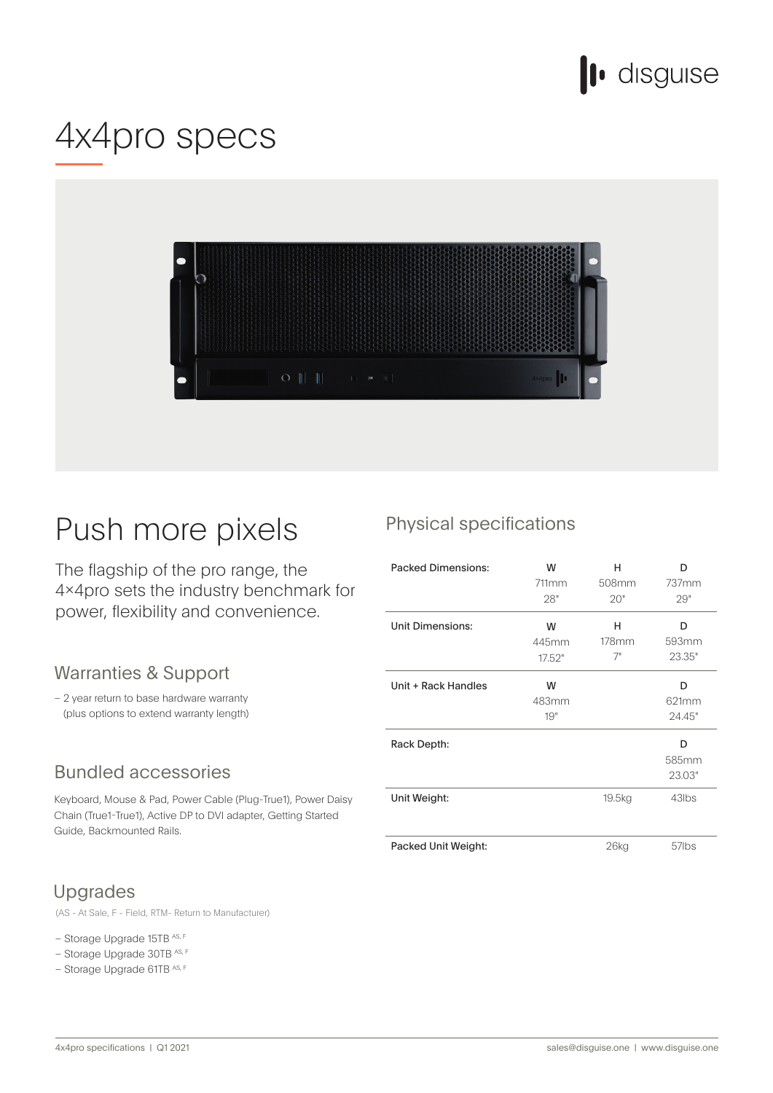

# 4x4pro specs



## Push more pixels

The flagship of the pro range, the 4×4pro sets the industry benchmark for power, flexibility and convenience.

#### Warranties & Support

- 2 year return to base hardware warranty (plus options to extend warranty length)

#### **Bundled accessories**

Keyboard, Mouse & Pad, Power Cable (Plug-True1), Power Daisy Chain (True1-True1), Active DP to DVI adapter, Getting Started Guide, Backmounted Rails.

#### **Upgrades**

(AS - At Sale, F - Field, RTM- Return to Manufacturer)

#### – Storage Upgrade 15TB AS, F

- Storage Upgrade 30TB AS, F
- Storage Upgrade 61TB AS, F

### Physical specifications

| <b>Packed Dimensions:</b> | W<br>711mm<br>28"    | н<br>508mm<br>20" | n<br>737mm<br>29"    |
|---------------------------|----------------------|-------------------|----------------------|
| <b>Unit Dimensions:</b>   | W<br>445mm<br>17.52" | н<br>178mm<br>7"  | D<br>593mm<br>23.35" |
| Unit + Rack Handles       | W<br>483mm<br>19"    |                   | D<br>621mm<br>24.45" |
| Rack Depth:               |                      |                   | D<br>585mm<br>23.03" |
| Unit Weight:              |                      | 19.5kg            | 43lbs                |
| Packed Unit Weight:       |                      | $26$ kg           | 57lbs                |